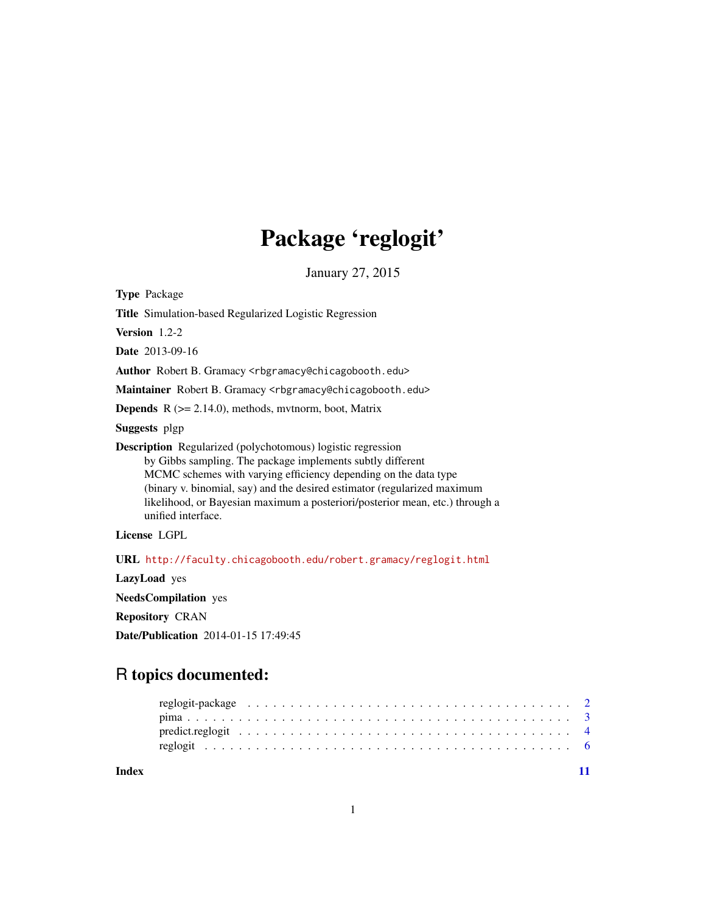## Package 'reglogit'

January 27, 2015

<span id="page-0-0"></span>Type Package

Title Simulation-based Regularized Logistic Regression

Version 1.2-2

Date 2013-09-16

Author Robert B. Gramacy <rbgramacy@chicagobooth.edu>

Maintainer Robert B. Gramacy <rbgramacy@chicagobooth.edu>

**Depends**  $R$  ( $>= 2.14.0$ ), methods, mythorm, boot, Matrix

Suggests plgp

Description Regularized (polychotomous) logistic regression by Gibbs sampling. The package implements subtly different MCMC schemes with varying efficiency depending on the data type (binary v. binomial, say) and the desired estimator (regularized maximum likelihood, or Bayesian maximum a posteriori/posterior mean, etc.) through a unified interface.

License LGPL

URL <http://faculty.chicagobooth.edu/robert.gramacy/reglogit.html>

LazyLoad yes

NeedsCompilation yes

Repository CRAN

Date/Publication 2014-01-15 17:49:45

## R topics documented:

**Index** [11](#page-10-0)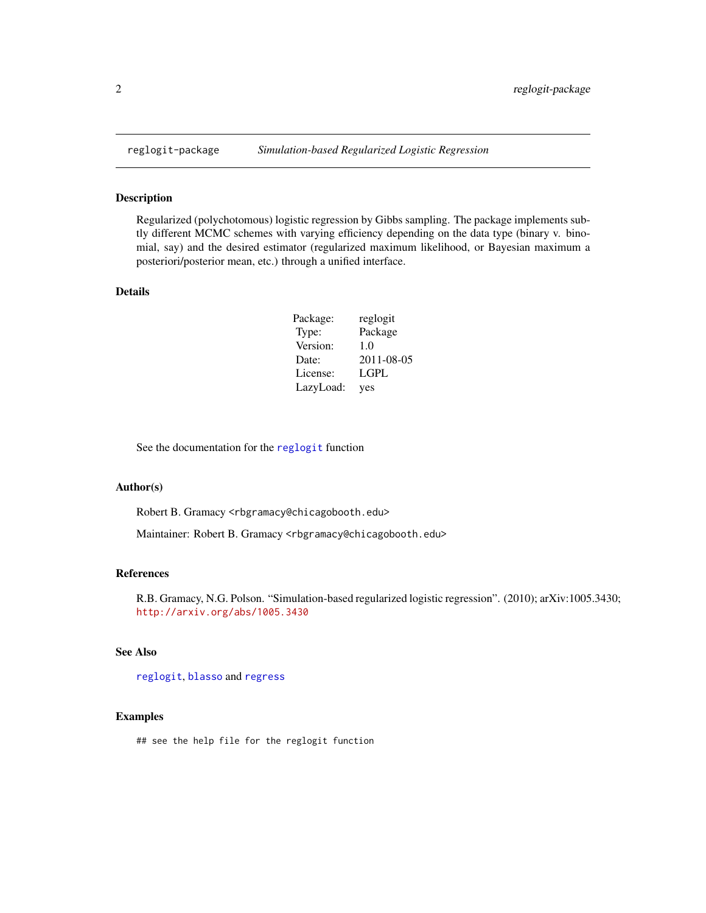<span id="page-1-0"></span>

## Description

Regularized (polychotomous) logistic regression by Gibbs sampling. The package implements subtly different MCMC schemes with varying efficiency depending on the data type (binary v. binomial, say) and the desired estimator (regularized maximum likelihood, or Bayesian maximum a posteriori/posterior mean, etc.) through a unified interface.

## Details

| Package:  | reglogit   |
|-----------|------------|
| Type:     | Package    |
| Version:  | 1.0        |
| Date:     | 2011-08-05 |
| License:  | LGPL       |
| LazyLoad: | yes        |

See the documentation for the [reglogit](#page-5-1) function

## Author(s)

Robert B. Gramacy <rbgramacy@chicagobooth.edu>

Maintainer: Robert B. Gramacy <rbgramacy@chicagobooth.edu>

#### References

R.B. Gramacy, N.G. Polson. "Simulation-based regularized logistic regression". (2010); arXiv:1005.3430; <http://arxiv.org/abs/1005.3430>

## See Also

[reglogit](#page-5-1), [blasso](#page-0-0) and [regress](#page-0-0)

## Examples

## see the help file for the reglogit function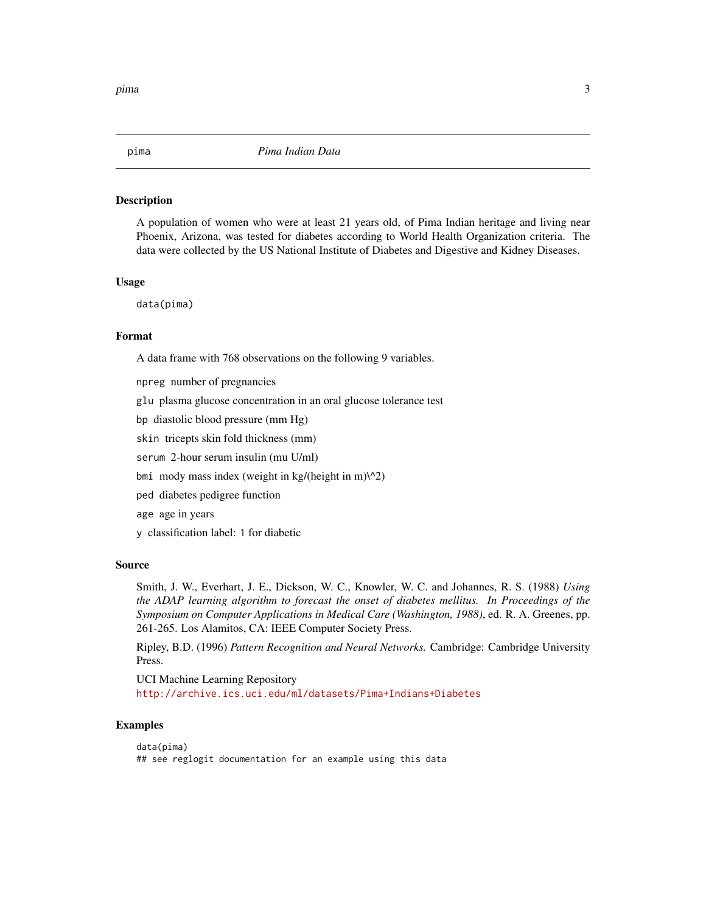<span id="page-2-0"></span>

#### Description

A population of women who were at least 21 years old, of Pima Indian heritage and living near Phoenix, Arizona, was tested for diabetes according to World Health Organization criteria. The data were collected by the US National Institute of Diabetes and Digestive and Kidney Diseases.

#### Usage

data(pima)

## Format

A data frame with 768 observations on the following 9 variables.

npreg number of pregnancies glu plasma glucose concentration in an oral glucose tolerance test bp diastolic blood pressure (mm Hg) skin tricepts skin fold thickness (mm) serum 2-hour serum insulin (mu U/ml) bmi mody mass index (weight in kg/(height in m) $\binom{1}{2}$ ped diabetes pedigree function age age in years y classification label: 1 for diabetic

## Source

Smith, J. W., Everhart, J. E., Dickson, W. C., Knowler, W. C. and Johannes, R. S. (1988) *Using the ADAP learning algorithm to forecast the onset of diabetes mellitus. In Proceedings of the Symposium on Computer Applications in Medical Care (Washington, 1988)*, ed. R. A. Greenes, pp. 261-265. Los Alamitos, CA: IEEE Computer Society Press.

Ripley, B.D. (1996) *Pattern Recognition and Neural Networks.* Cambridge: Cambridge University Press.

UCI Machine Learning Repository <http://archive.ics.uci.edu/ml/datasets/Pima+Indians+Diabetes>

## Examples

```
data(pima)
## see reglogit documentation for an example using this data
```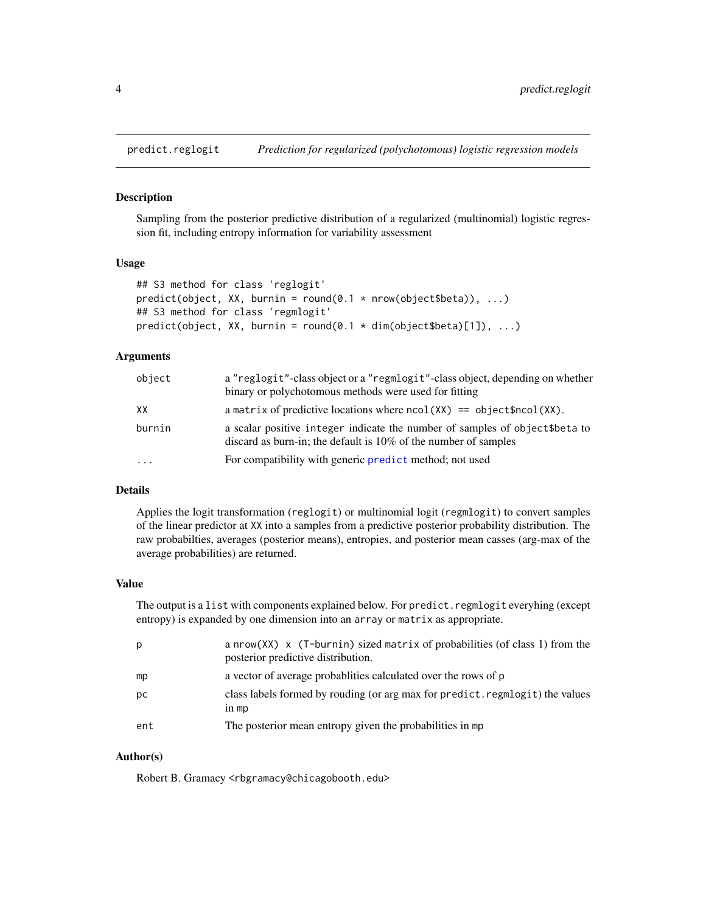<span id="page-3-2"></span><span id="page-3-0"></span>

#### <span id="page-3-1"></span>Description

Sampling from the posterior predictive distribution of a regularized (multinomial) logistic regression fit, including entropy information for variability assessment

#### Usage

```
## S3 method for class 'reglogit'
predict(object, XX, burnin = round(0.1 * nrow(object$beta)), ...)## S3 method for class 'regmlogit'
predict(object, XX, burnin = round(0.1 * dim(object$beta)[1]), ...
```
#### Arguments

| object    | a "reglogit"-class object or a "regmlogit"-class object, depending on whether<br>binary or polychotomous methods were used for fitting              |
|-----------|-----------------------------------------------------------------------------------------------------------------------------------------------------|
| XX        | a matrix of predictive locations where $ncol(XX) == object\$ncol(XX)$ .                                                                             |
| burnin    | a scalar positive integer indicate the number of samples of object \$ beta to<br>discard as burn-in; the default is $10\%$ of the number of samples |
| $\ddotsc$ | For compatibility with generic predict method; not used                                                                                             |

## Details

Applies the logit transformation (reglogit) or multinomial logit (regmlogit) to convert samples of the linear predictor at XX into a samples from a predictive posterior probability distribution. The raw probabilties, averages (posterior means), entropies, and posterior mean casses (arg-max of the average probabilities) are returned.

#### Value

The output is a list with components explained below. For predict. regmlogit everyhing (except entropy) is expanded by one dimension into an array or matrix as appropriate.

| p   | a nrow( $XX$ ) x ( $T$ -burnin) sized matrix of probabilities (of class 1) from the<br>posterior predictive distribution. |
|-----|---------------------------------------------------------------------------------------------------------------------------|
| mp  | a vector of average probabilities calculated over the rows of p                                                           |
| pc  | class labels formed by rouding (or arg max for predict. regmlogit) the values<br>$in$ mp                                  |
| ent | The posterior mean entropy given the probabilities in mp                                                                  |

## Author(s)

Robert B. Gramacy <rbgramacy@chicagobooth.edu>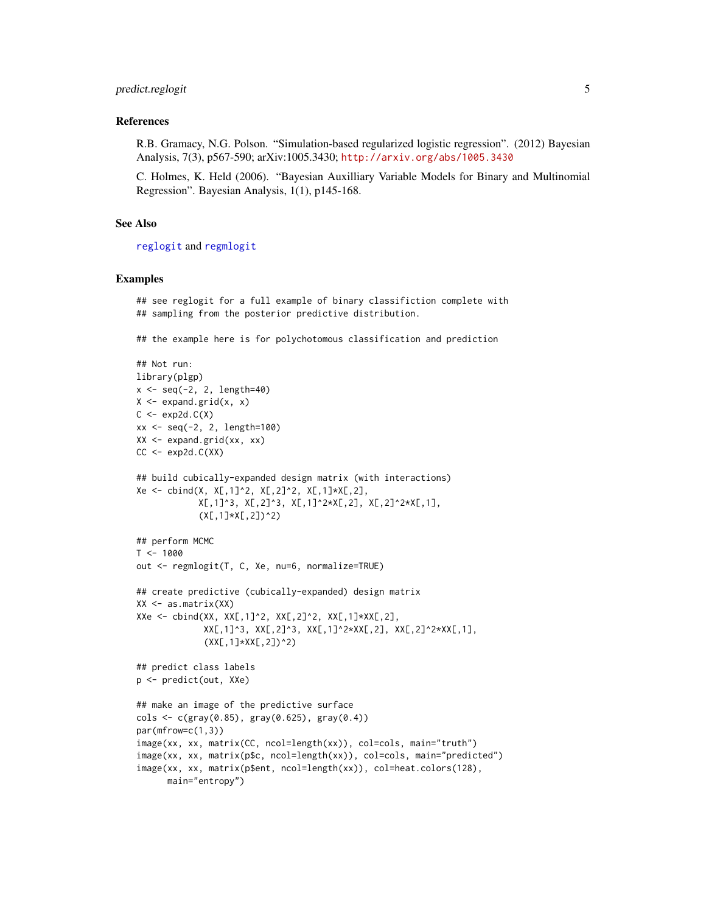## <span id="page-4-0"></span>predict.reglogit 5

#### References

R.B. Gramacy, N.G. Polson. "Simulation-based regularized logistic regression". (2012) Bayesian Analysis, 7(3), p567-590; arXiv:1005.3430; <http://arxiv.org/abs/1005.3430>

C. Holmes, K. Held (2006). "Bayesian Auxilliary Variable Models for Binary and Multinomial Regression". Bayesian Analysis, 1(1), p145-168.

## See Also

[reglogit](#page-5-1) and [regmlogit](#page-5-2)

#### Examples

## see reglogit for a full example of binary classifiction complete with ## sampling from the posterior predictive distribution.

## the example here is for polychotomous classification and prediction

```
## Not run:
library(plgp)
x \leq -\text{seq}(-2, 2, \text{length}=40)X \leftarrow expand.grid(x, x)
C \leftarrow \exp 2d.C(X)xx < - seq(-2, 2, length=100)
XX <- expand.grid(xx, xx)
CC \leftarrow \exp2d.C(XX)## build cubically-expanded design matrix (with interactions)
Xe <- cbind(X, X[,1]^2, X[,2]^2, X[,1]*X[,2],
             X[,1]^3, X[,2]^3, X[,1]^2*X[,2], X[,2]^2*X[,1],
             (X[, 1]*X[, 2])^2)
## perform MCMC
T < - 1000out <- regmlogit(T, C, Xe, nu=6, normalize=TRUE)
## create predictive (cubically-expanded) design matrix
XX \leq -as.matrix(XX)XXe \leq -\text{cbind}(XX, XX[, 1]^2, XX[, 2]^2, XX[, 1]^*XX[, 2],XX[,1]^3, XX[,2]^3, XX[,1]^2*XX[,2], XX[,2]^2*XX[,1],
              (XX[, 1]*XX[, 2])^2)
## predict class labels
p <- predict(out, XXe)
## make an image of the predictive surface
\text{cols} \leq \text{c}(\text{gray}(0.85), \text{gray}(0.625), \text{gray}(0.4))par(mfrow=c(1,3))
image(xx, xx, matrix(CC, ncol=length(xx)), col=cols, main="truth")
image(xx, xx, matrix(p$c, ncol=length(xx)), col=cols, main="predicted")
image(xx, xx, matrix(p$ent, ncol=length(xx)), col=heat.colors(128),
      main="entropy")
```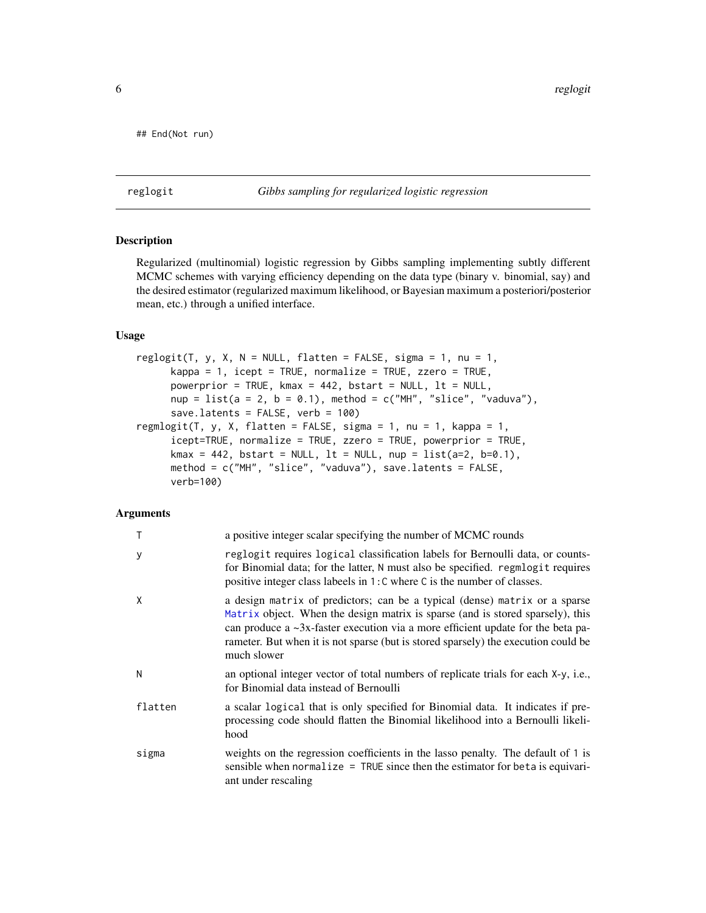```
## End(Not run)
```
## <span id="page-5-1"></span>reglogit *Gibbs sampling for regularized logistic regression*

## <span id="page-5-2"></span>Description

Regularized (multinomial) logistic regression by Gibbs sampling implementing subtly different MCMC schemes with varying efficiency depending on the data type (binary v. binomial, say) and the desired estimator (regularized maximum likelihood, or Bayesian maximum a posteriori/posterior mean, etc.) through a unified interface.

## Usage

```
reglogit(T, y, X, N = NULL, flatten = FALSE, sigma = 1, nu = 1,
     kappa = 1, icept = TRUE, normalize = TRUE, zzero = TRUE,
     powerprior = TRUE, kmax = 442, bstart = NULL, lt = NULL,
     nup = list(a = 2, b = 0.1), method = c("MH", "slice", "vaduva"),save.latents = FALSE, verb = 100)
regmlogit(T, y, X, flatten = FALSE, sigma = 1, nu = 1, kappa = 1,
     icept=TRUE, normalize = TRUE, zzero = TRUE, powerprior = TRUE,
     kmax = 442, bstart = NULL, lt = NULL, nup = list(a=2, b=0.1),
     method = c("MH", "slice", "vaduva"), save.latents = FALSE,
     verb=100)
```
## Arguments

|         | a positive integer scalar specifying the number of MCMC rounds                                                                                                                                                                                                                                                                                             |
|---------|------------------------------------------------------------------------------------------------------------------------------------------------------------------------------------------------------------------------------------------------------------------------------------------------------------------------------------------------------------|
| У       | reglogit requires logical classification labels for Bernoulli data, or counts-<br>for Binomial data; for the latter, N must also be specified. regmlogit requires<br>positive integer class labeels in 1: C where C is the number of classes.                                                                                                              |
| Χ       | a design matrix of predictors; can be a typical (dense) matrix or a sparse<br>Matrix object. When the design matrix is sparse (and is stored sparsely), this<br>can produce a $\sim$ 3x-faster execution via a more efficient update for the beta pa-<br>rameter. But when it is not sparse (but is stored sparsely) the execution could be<br>much slower |
| Ν       | an optional integer vector of total numbers of replicate trials for each X-y, i.e.,<br>for Binomial data instead of Bernoulli                                                                                                                                                                                                                              |
| flatten | a scalar logical that is only specified for Binomial data. It indicates if pre-<br>processing code should flatten the Binomial likelihood into a Bernoulli likeli-<br>hood                                                                                                                                                                                 |
| sigma   | weights on the regression coefficients in the lasso penalty. The default of 1 is<br>sensible when normalize $=$ TRUE since then the estimator for beta is equivari-<br>ant under rescaling                                                                                                                                                                 |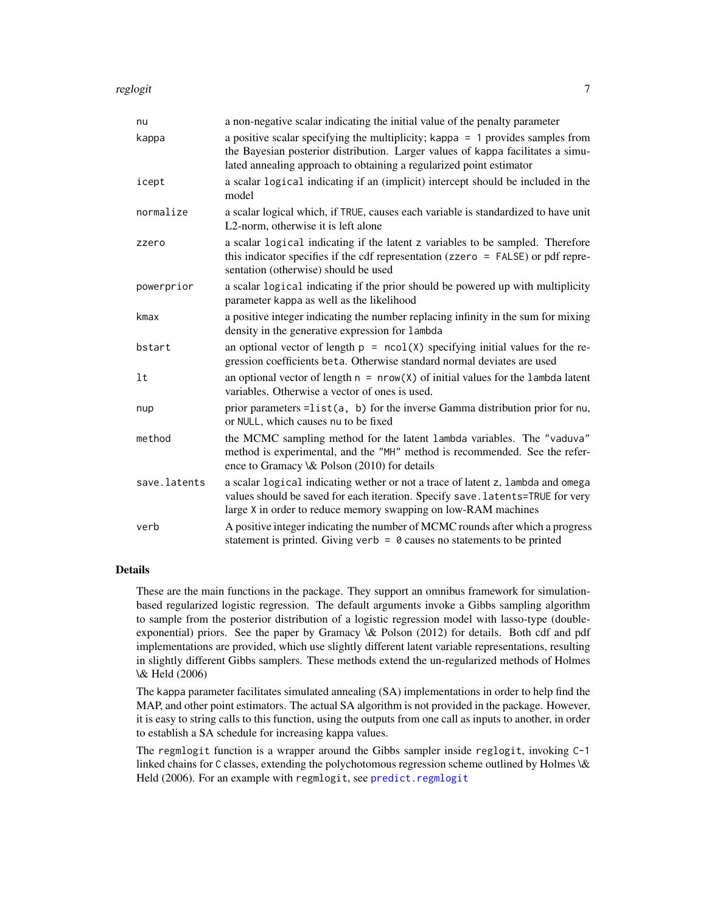<span id="page-6-0"></span>reglogit the contract of the contract of the contract of the contract of the contract of the contract of the contract of the contract of the contract of the contract of the contract of the contract of the contract of the c

| nu           | a non-negative scalar indicating the initial value of the penalty parameter                                                                                                                                                                |
|--------------|--------------------------------------------------------------------------------------------------------------------------------------------------------------------------------------------------------------------------------------------|
| kappa        | a positive scalar specifying the multiplicity; kappa $= 1$ provides samples from<br>the Bayesian posterior distribution. Larger values of kappa facilitates a simu-<br>lated annealing approach to obtaining a regularized point estimator |
| icept        | a scalar logical indicating if an (implicit) intercept should be included in the<br>model                                                                                                                                                  |
| normalize    | a scalar logical which, if TRUE, causes each variable is standardized to have unit<br>L2-norm, otherwise it is left alone                                                                                                                  |
| zzero        | a scalar logical indicating if the latent z variables to be sampled. Therefore<br>this indicator specifies if the cdf representation (zzero $=$ FALSE) or pdf repre-<br>sentation (otherwise) should be used                               |
| powerprior   | a scalar logical indicating if the prior should be powered up with multiplicity<br>parameter kappa as well as the likelihood                                                                                                               |
| kmax         | a positive integer indicating the number replacing infinity in the sum for mixing<br>density in the generative expression for lambda                                                                                                       |
| bstart       | an optional vector of length $p = \text{ncol}(X)$ specifying initial values for the re-<br>gression coefficients beta. Otherwise standard normal deviates are used                                                                         |
| lt           | an optional vector of length $n = nrow(X)$ of initial values for the lambda latent<br>variables. Otherwise a vector of ones is used.                                                                                                       |
| nup          | prior parameters = $list(a, b)$ for the inverse Gamma distribution prior for nu,<br>or NULL, which causes nu to be fixed                                                                                                                   |
| method       | the MCMC sampling method for the latent lambda variables. The "vaduva"<br>method is experimental, and the "MH" method is recommended. See the refer-<br>ence to Gramacy \& Polson (2010) for details                                       |
| save.latents | a scalar logical indicating wether or not a trace of latent z, lambda and omega<br>values should be saved for each iteration. Specify save. latents=TRUE for very<br>large X in order to reduce memory swapping on low-RAM machines        |
| verb         | A positive integer indicating the number of MCMC rounds after which a progress<br>statement is printed. Giving verb = $\theta$ causes no statements to be printed                                                                          |

## Details

These are the main functions in the package. They support an omnibus framework for simulationbased regularized logistic regression. The default arguments invoke a Gibbs sampling algorithm to sample from the posterior distribution of a logistic regression model with lasso-type (doubleexponential) priors. See the paper by Gramacy \& Polson (2012) for details. Both cdf and pdf implementations are provided, which use slightly different latent variable representations, resulting in slightly different Gibbs samplers. These methods extend the un-regularized methods of Holmes \& Held (2006)

The kappa parameter facilitates simulated annealing (SA) implementations in order to help find the MAP, and other point estimators. The actual SA algorithm is not provided in the package. However, it is easy to string calls to this function, using the outputs from one call as inputs to another, in order to establish a SA schedule for increasing kappa values.

The regmlogit function is a wrapper around the Gibbs sampler inside reglogit, invoking C-1 linked chains for C classes, extending the polychotomous regression scheme outlined by Holmes \& Held (2006). For an example with regmlogit, see [predict.regmlogit](#page-3-1)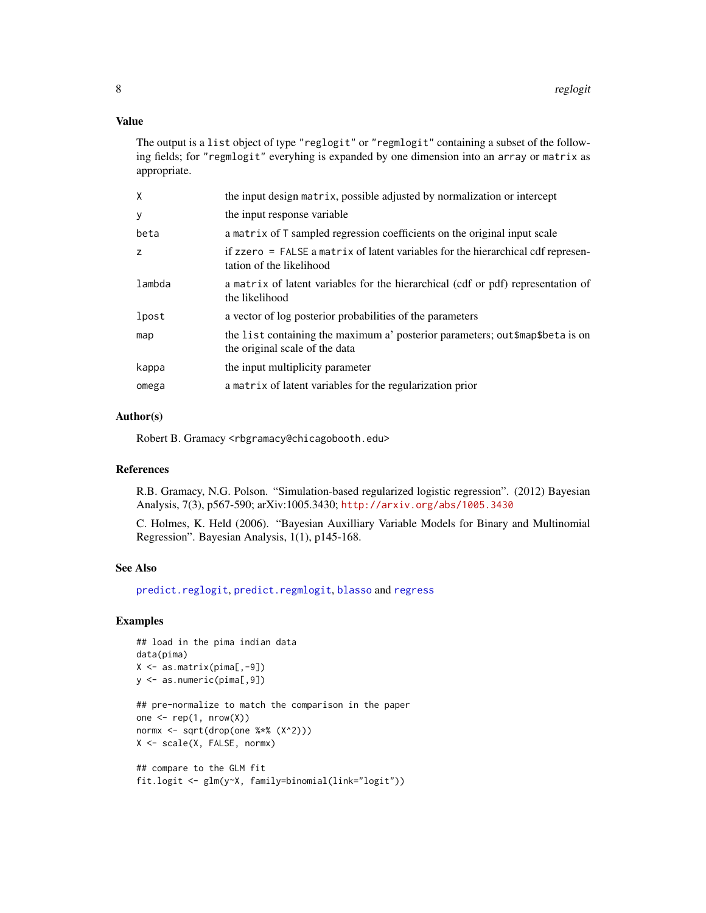## <span id="page-7-0"></span>Value

The output is a list object of type "reglogit" or "regmlogit" containing a subset of the following fields; for "regmlogit" everyhing is expanded by one dimension into an array or matrix as appropriate.

| Χ      | the input design matrix, possible adjusted by normalization or intercept                                         |
|--------|------------------------------------------------------------------------------------------------------------------|
| у      | the input response variable.                                                                                     |
| beta   | a matrix of T sampled regression coefficients on the original input scale                                        |
| Z      | if zzero = FALSE a matrix of latent variables for the hierarchical cdf represen-<br>tation of the likelihood     |
| lambda | a matrix of latent variables for the hierarchical (cdf or pdf) representation of<br>the likelihood               |
| lpost  | a vector of log posterior probabilities of the parameters                                                        |
| map    | the list containing the maximum a' posterior parameters; out \$map\$beta is on<br>the original scale of the data |
| kappa  | the input multiplicity parameter                                                                                 |
| omega  | a matrix of latent variables for the regularization prior                                                        |

## Author(s)

Robert B. Gramacy <rbgramacy@chicagobooth.edu>

## References

R.B. Gramacy, N.G. Polson. "Simulation-based regularized logistic regression". (2012) Bayesian Analysis, 7(3), p567-590; arXiv:1005.3430; <http://arxiv.org/abs/1005.3430>

C. Holmes, K. Held (2006). "Bayesian Auxilliary Variable Models for Binary and Multinomial Regression". Bayesian Analysis, 1(1), p145-168.

#### See Also

[predict.reglogit](#page-3-2), [predict.regmlogit](#page-3-1), [blasso](#page-0-0) and [regress](#page-0-0)

## Examples

```
## load in the pima indian data
data(pima)
X <- as.matrix(pima[,-9])
y <- as.numeric(pima[,9])
## pre-normalize to match the comparison in the paper
one \leq rep(1, nrow(X))
normx <- sqrt(drop(one %*% (X^2)))
X <- scale(X, FALSE, normx)
## compare to the GLM fit
fit.logit <- glm(y~X, family=binomial(link="logit"))
```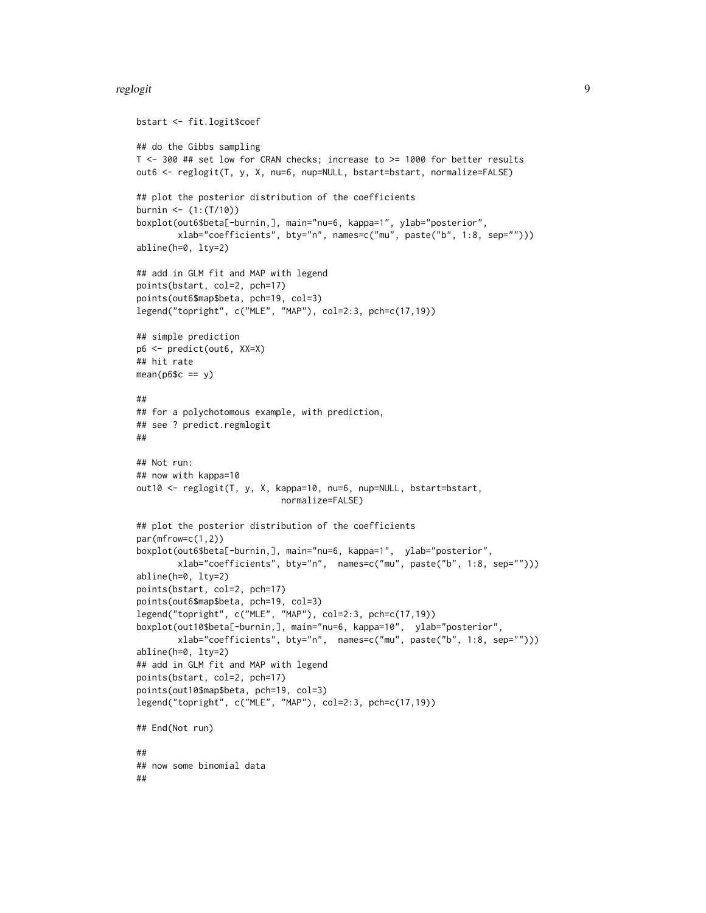#### reglogit the state of the state of the state of the state of the state of the state of the state of the state o

```
bstart <- fit.logit$coef
## do the Gibbs sampling
T <- 300 ## set low for CRAN checks; increase to >= 1000 for better results
out6 <- reglogit(T, y, X, nu=6, nup=NULL, bstart=bstart, normalize=FALSE)
## plot the posterior distribution of the coefficients
burnin <- (1:(T/10))
boxplot(out6$beta[-burnin,], main="nu=6, kappa=1", ylab="posterior",
        xlab="coefficients", bty="n", names=c("mu", paste("b", 1:8, sep="")))
abline(h=0, lty=2)
## add in GLM fit and MAP with legend
points(bstart, col=2, pch=17)
points(out6$map$beta, pch=19, col=3)
legend("topright", c("MLE", "MAP"), col=2:3, pch=c(17,19))
## simple prediction
p6 <- predict(out6, XX=X)
## hit rate
mean(p6$c == y)##
## for a polychotomous example, with prediction,
## see ? predict.regmlogit
##
## Not run:
## now with kappa=10
out10 <- reglogit(T, y, X, kappa=10, nu=6, nup=NULL, bstart=bstart,
                            normalize=FALSE)
## plot the posterior distribution of the coefficients
par(mfrow=c(1,2))
boxplot(out6$beta[-burnin,], main="nu=6, kappa=1", ylab="posterior",
        xlab="coefficients", bty="n", names=c("mu", paste("b", 1:8, sep="")))
abline(h=0, lty=2)
points(bstart, col=2, pch=17)
points(out6$map$beta, pch=19, col=3)
legend("topright", c("MLE", "MAP"), col=2:3, pch=c(17,19))
boxplot(out10$beta[-burnin,], main="nu=6, kappa=10", ylab="posterior",
        xlab="coefficients", bty="n", names=c("mu", paste("b", 1:8, sep="")))
abline(h=0, lty=2)
## add in GLM fit and MAP with legend
points(bstart, col=2, pch=17)
points(out10$map$beta, pch=19, col=3)
legend("topright", c("MLE", "MAP"), col=2:3, pch=c(17,19))
## End(Not run)
##
## now some binomial data
##
```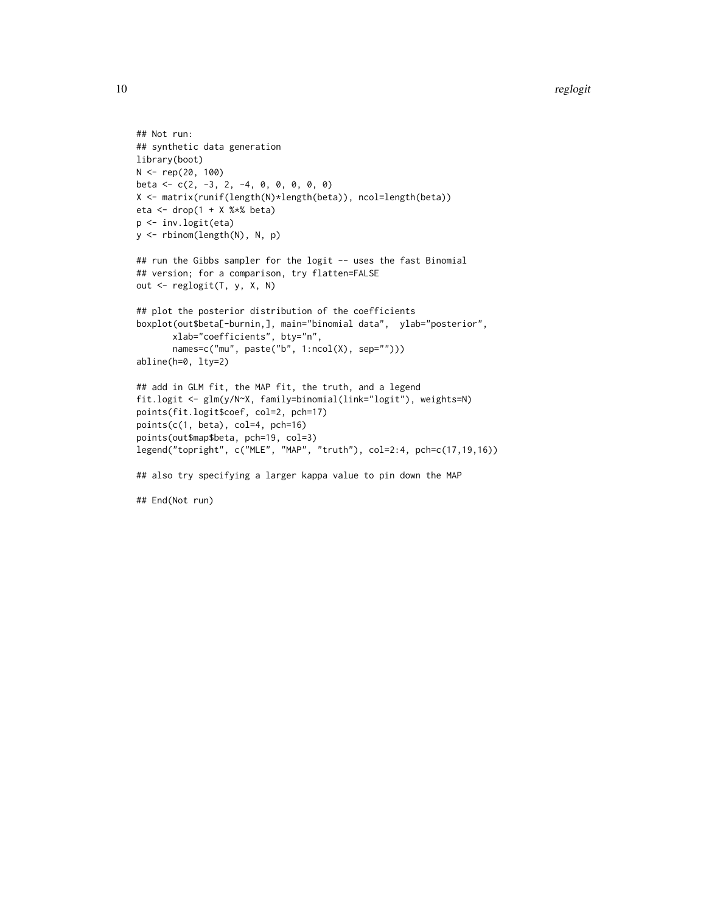#### 10 reglogit to the control of the control of the control of the control of the control of the control of the control of the control of the control of the control of the control of the control of the control of the control

```
## Not run:
## synthetic data generation
library(boot)
N <- rep(20, 100)
beta <- c(2, -3, 2, -4, 0, 0, 0, 0, 0)
X <- matrix(runif(length(N)*length(beta)), ncol=length(beta))
eta <- drop(1 + X %*) beta)
p <- inv.logit(eta)
y <- rbinom(length(N), N, p)
## run the Gibbs sampler for the logit -- uses the fast Binomial
## version; for a comparison, try flatten=FALSE
out <- reglogit(T, y, X, N)
## plot the posterior distribution of the coefficients
boxplot(out$beta[-burnin,], main="binomial data", ylab="posterior",
       xlab="coefficients", bty="n",
       names=c("mu", paste("b", 1:ncol(X), sep="")))
abline(h=0, lty=2)
## add in GLM fit, the MAP fit, the truth, and a legend
fit.logit <- glm(y/N~X, family=binomial(link="logit"), weights=N)
points(fit.logit$coef, col=2, pch=17)
points(c(1, beta), col=4, pch=16)
points(out$map$beta, pch=19, col=3)
legend("topright", c("MLE", "MAP", "truth"), col=2:4, pch=c(17,19,16))
## also try specifying a larger kappa value to pin down the MAP
## End(Not run)
```